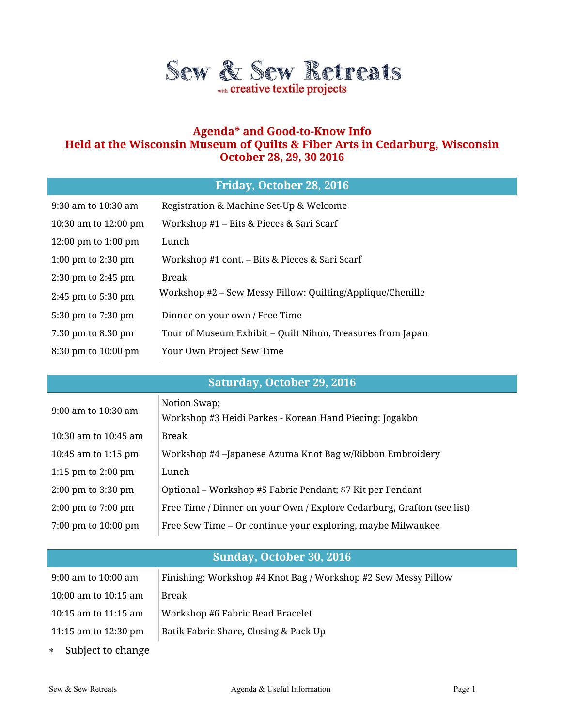

## **Agenda\* and Good-to-Know Info Held at the Wisconsin Museum of Quilts & Fiber Arts in Cedarburg, Wisconsin October 28, 29, 30 2016**

## **Friday, October 28, 2016**

| 9:30 am to 10:30 am    | Registration & Machine Set-Up & Welcome                    |
|------------------------|------------------------------------------------------------|
| 10:30 am to 12:00 pm   | Workshop #1 – Bits & Pieces & Sari Scarf                   |
| 12:00 pm to $1:00$ pm  | Lunch                                                      |
| 1:00 pm to 2:30 pm     | Workshop #1 cont. – Bits & Pieces & Sari Scarf             |
| $2:30$ pm to $2:45$ pm | Break                                                      |
| $2:45$ pm to $5:30$ pm | Workshop #2 – Sew Messy Pillow: Quilting/Applique/Chenille |
| 5:30 pm to 7:30 pm     | Dinner on your own / Free Time                             |
| 7:30 pm to 8:30 pm     | Tour of Museum Exhibit – Quilt Nihon, Treasures from Japan |
| 8:30 pm to 10:00 pm    | Your Own Project Sew Time                                  |

## **Saturday, October 29, 2016**

| 9:00 am to 10:30 am                    | Notion Swap;<br>Workshop #3 Heidi Parkes - Korean Hand Piecing: Jogakbo |
|----------------------------------------|-------------------------------------------------------------------------|
| 10:30 am to 10:45 am                   | Break                                                                   |
| 10:45 am to 1:15 pm                    | Workshop #4 –Japanese Azuma Knot Bag w/Ribbon Embroidery                |
| 1:15 pm to 2:00 pm                     | Lunch                                                                   |
| $2:00$ pm to $3:30$ pm                 | Optional – Workshop #5 Fabric Pendant; \$7 Kit per Pendant              |
| $2:00 \text{ pm}$ to $7:00 \text{ pm}$ | Free Time / Dinner on your Own / Explore Cedarburg, Grafton (see list)  |
| 7:00 pm to 10:00 pm                    | Free Sew Time – Or continue your exploring, maybe Milwaukee             |

# **Sunday, October 30, 2016**

| 9:00 am to 10:00 am    | Finishing: Workshop #4 Knot Bag / Workshop #2 Sew Messy Pillow |
|------------------------|----------------------------------------------------------------|
| 10:00 am to $10:15$ am | Break                                                          |
| 10:15 am to $11:15$ am | Workshop #6 Fabric Bead Bracelet                               |
| 11:15 am to 12:30 pm   | Batik Fabric Share, Closing & Pack Up                          |
|                        |                                                                |

Subject to change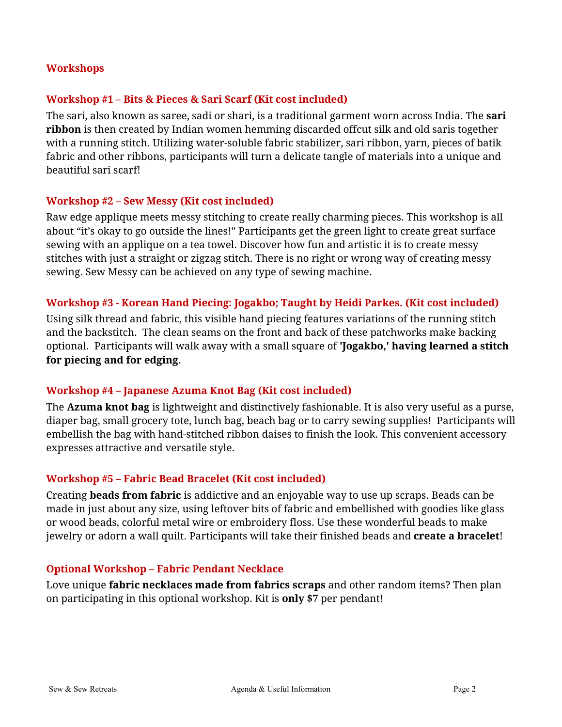#### **Workshops**

#### **Workshop #1 – Bits & Pieces & Sari Scarf (Kit cost included)**

The sari, also known as saree, sadi or shari, is a traditional garment worn across India. The **sari ribbon** is then created by Indian women hemming discarded offcut silk and old saris together with a running stitch. Utilizing water-soluble fabric stabilizer, sari ribbon, yarn, pieces of batik fabric and other ribbons, participants will turn a delicate tangle of materials into a unique and beautiful sari scarf!

#### **Workshop #2 – Sew Messy (Kit cost included)**

Raw edge applique meets messy stitching to create really charming pieces. This workshop is all about "it's okay to go outside the lines!" Participants get the green light to create great surface sewing with an applique on a tea towel. Discover how fun and artistic it is to create messy stitches with just a straight or zigzag stitch. There is no right or wrong way of creating messy sewing. Sew Messy can be achieved on any type of sewing machine.

#### **Workshop #3 - Korean Hand Piecing: Jogakbo; Taught by Heidi Parkes. (Kit cost included)**

Using silk thread and fabric, this visible hand piecing features variations of the running stitch and the backstitch. The clean seams on the front and back of these patchworks make backing optional. Participants will walk away with a small square of **'Jogakbo,' having learned a stitch for piecing and for edging**.

### **Workshop #4 – Japanese Azuma Knot Bag (Kit cost included)**

The **Azuma knot bag** is lightweight and distinctively fashionable. It is also very useful as a purse, diaper bag, small grocery tote, lunch bag, beach bag or to carry sewing supplies! Participants will embellish the bag with hand-stitched ribbon daises to finish the look. This convenient accessory expresses attractive and versatile style.

### **Workshop #5 – Fabric Bead Bracelet (Kit cost included)**

Creating **beads from fabric** is addictive and an enjoyable way to use up scraps. Beads can be made in just about any size, using leftover bits of fabric and embellished with goodies like glass or wood beads, colorful metal wire or embroidery floss. Use these wonderful beads to make jewelry or adorn a wall quilt. Participants will take their finished beads and **create a bracelet**!

#### **Optional Workshop – Fabric Pendant Necklace**

Love unique **fabric necklaces made from fabrics scraps** and other random items? Then plan on participating in this optional workshop. Kit is **only \$7** per pendant!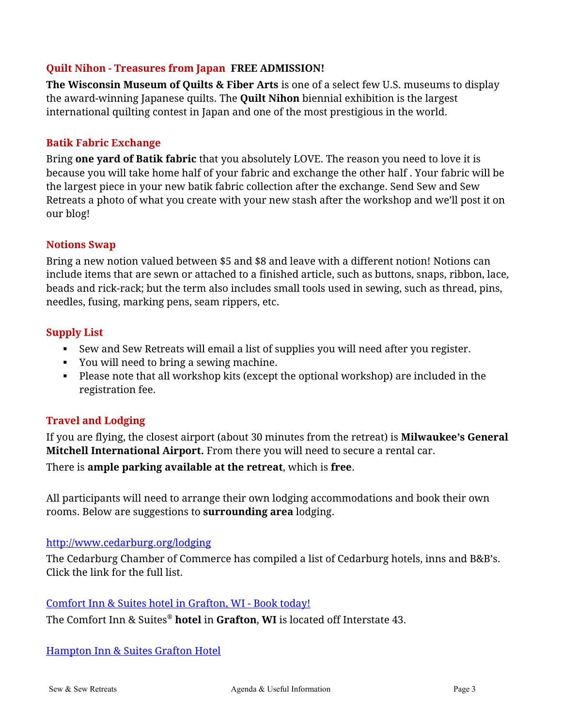## **Quilt Nihon - Treasures from Japan FREE ADMISSION!**

**The Wisconsin Museum of Quilts & Fiber Arts** is one of a select few U.S. museums to display the award-winning Japanese quilts. The **Quilt Nihon** biennial exhibition is the largest international quilting contest in Japan and one of the most prestigious in the world.

### **Batik Fabric Exchange**

Bring **one yard of Batik fabric** that you absolutely LOVE. The reason you need to love it is because you will take home half of your fabric and exchange the other half . Your fabric will be the largest piece in your new batik fabric collection after the exchange. Send Sew and Sew Retreats a photo of what you create with your new stash after the workshop and we'll post it on our blog!

### **Notions Swap**

Bring a new notion valued between \$5 and \$8 and leave with a different notion! Notions can include items that are sewn or attached to a finished article, such as buttons, snaps, ribbon, lace, beads and rick-rack; but the term also includes small tools used in sewing, such as thread, pins, needles, fusing, marking pens, seam rippers, etc.

## **Supply List**

- Sew and Sew Retreats will email a list of supplies you will need after you register.
- You will need to bring a sewing machine.
- Please note that all workshop kits (except the optional workshop) are included in the registration fee.

# **Travel and Lodging**

If you are flying, the closest airport (about 30 minutes from the retreat) is **Milwaukee's General Mitchell International Airport.** From there you will need to secure a rental car.

There is **ample parking available at the retreat**, which is **free**.

All participants will need to arrange their own lodging accommodations and book their own rooms. Below are suggestions to **surrounding area** lodging.

### <http://www.cedarburg.org/lodging>

The Cedarburg Chamber of Commerce has compiled a list of Cedarburg hotels, inns and B&B's. Click the link for the full list.

### [Comfort Inn & Suites hotel in Grafton, WI -](https://www.choicehotels.com/wisconsin/grafton/comfort-inn-hotels/wi260) Book today!

The Comfort Inn & Suites® **hotel** in **Grafton**, **WI** is located off Interstate 43.

[Hampton Inn & Suites Grafton Hotel](http://hamptoninn3.hilton.com/en/hotels/wisconsin/hampton-inn-and-suites-grafton-MKEGFHX/index.html)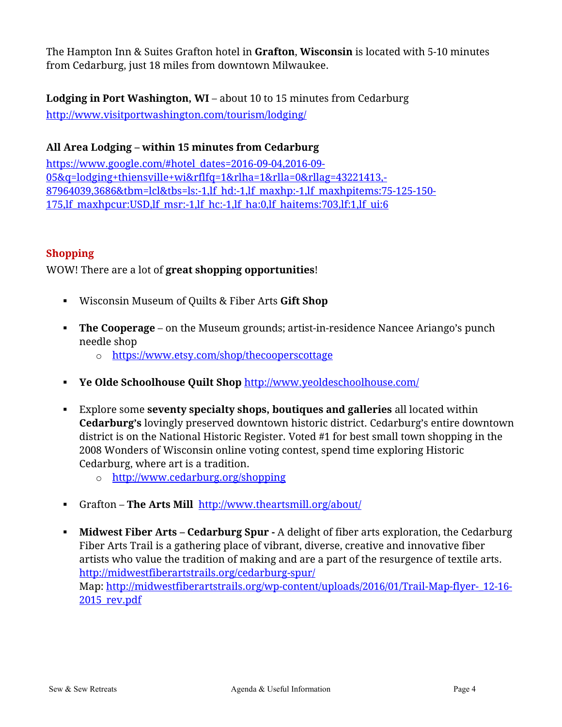The Hampton Inn & Suites Grafton hotel in **Grafton**, **Wisconsin** is located with 5-10 minutes from Cedarburg, just 18 miles from downtown Milwaukee.

**Lodging in Port Washington, WI** – about 10 to 15 minutes from Cedarburg <http://www.visitportwashington.com/tourism/lodging/>

# **All Area Lodging – within 15 minutes from Cedarburg**

[https://www.google.com/#hotel\\_dates=2016-09-04,2016-09-](https://www.google.com/#hotel_dates=2016-09-04,2016-09-05&q=lodging+thiensville+wi&rflfq=1&rlha=1&rlla=0&rllag=43221413,-87964039,3686&tbm=lcl&tbs=ls:-1,lf_hd:-1,lf_maxhp:-1,lf_maxhpitems:75-125-150-175,lf_maxhpcur:USD,lf_msr:-1,lf_hc:-1,lf_ha:0,lf_haitems:703,lf:1,lf_ui:6) [05&q=lodging+thiensville+wi&rflfq=1&rlha=1&rlla=0&rllag=43221413,-](https://www.google.com/#hotel_dates=2016-09-04,2016-09-05&q=lodging+thiensville+wi&rflfq=1&rlha=1&rlla=0&rllag=43221413,-87964039,3686&tbm=lcl&tbs=ls:-1,lf_hd:-1,lf_maxhp:-1,lf_maxhpitems:75-125-150-175,lf_maxhpcur:USD,lf_msr:-1,lf_hc:-1,lf_ha:0,lf_haitems:703,lf:1,lf_ui:6) [87964039,3686&tbm=lcl&tbs=ls:-1,lf\\_hd:-1,lf\\_maxhp:-1,lf\\_maxhpitems:75-125-150-](https://www.google.com/#hotel_dates=2016-09-04,2016-09-05&q=lodging+thiensville+wi&rflfq=1&rlha=1&rlla=0&rllag=43221413,-87964039,3686&tbm=lcl&tbs=ls:-1,lf_hd:-1,lf_maxhp:-1,lf_maxhpitems:75-125-150-175,lf_maxhpcur:USD,lf_msr:-1,lf_hc:-1,lf_ha:0,lf_haitems:703,lf:1,lf_ui:6) [175,lf\\_maxhpcur:USD,lf\\_msr:-1,lf\\_hc:-1,lf\\_ha:0,lf\\_haitems:703,lf:1,lf\\_ui:6](https://www.google.com/#hotel_dates=2016-09-04,2016-09-05&q=lodging+thiensville+wi&rflfq=1&rlha=1&rlla=0&rllag=43221413,-87964039,3686&tbm=lcl&tbs=ls:-1,lf_hd:-1,lf_maxhp:-1,lf_maxhpitems:75-125-150-175,lf_maxhpcur:USD,lf_msr:-1,lf_hc:-1,lf_ha:0,lf_haitems:703,lf:1,lf_ui:6)

# **Shopping**

WOW! There are a lot of **great shopping opportunities**!

- Wisconsin Museum of Quilts & Fiber Arts **Gift Shop**
- **The Cooperage** on the Museum grounds; artist-in-residence Nancee Ariango's punch needle shop
	- o <https://www.etsy.com/shop/thecooperscottage>
- **Ye Olde Schoolhouse Quilt Shop** <http://www.yeoldeschoolhouse.com/>
- Explore some **seventy specialty shops, boutiques and galleries** all located within **Cedarburg's** lovingly preserved downtown historic district. Cedarburg's entire downtown district is on the National Historic Register. Voted #1 for best small town shopping in the 2008 Wonders of Wisconsin online voting contest, spend time exploring Historic Cedarburg, where art is a tradition.
	- o <http://www.cedarburg.org/shopping>
- Grafton **The Arts Mill** <http://www.theartsmill.org/about/>
- **Midwest Fiber Arts – Cedarburg Spur -** A delight of fiber arts exploration, the Cedarburg Fiber Arts Trail is a gathering place of vibrant, diverse, creative and innovative fiber artists who value the tradition of making and are a part of the resurgence of textile arts. <http://midwestfiberartstrails.org/cedarburg-spur/> Map: [http://midwestfiberartstrails.org/wp-content/uploads/2016/01/Trail-Map-flyer-\\_12-16-](http://midwestfiberartstrails.org/wp-content/uploads/2016/01/Trail-Map-flyer-_12-16-2015_rev.pdf) [2015\\_rev.pdf](http://midwestfiberartstrails.org/wp-content/uploads/2016/01/Trail-Map-flyer-_12-16-2015_rev.pdf)